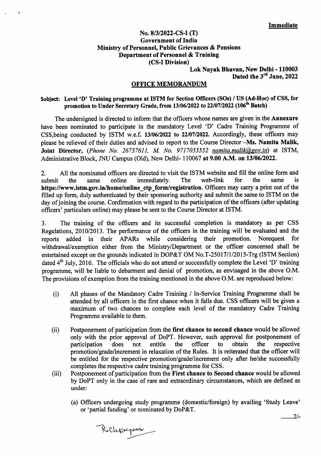## No. 8/3/2022-CS-I **(T) Government of India Ministry of Personnel, Public Grievances** & **Pensions Department of Personnel & Training (CS-I Division)**

**Lok Nayak Bhavan, New Delhi** - **110003 Dated the** 3rd **June, 2022** 

## **OFFICE MEMORANDUM**

## **Subject: Level 'D' Training programme at ISTM for Section Officers (SOs)** / US **(Ad-Hoc) of CSS, for promotion to Under Secretary Grade, from 13/06/2022 to 22/07/2022 (106th Batch)**

The undersigned is directed to inform that the officers whose names are given in the **Annexure**  have been nominated to participate in the mandatory Level 'D' Cadre Training Programme of CSS,being conducted by ISTM w.e.f. 13/06/2022 to 22/07/2022. Accordingly, these officers may please be relieved of their duties and advised to report to the Course Director —Ms. **Namita Malik, Joint Director,** *(Phone No. 26737611, M. No. 9717033552 namita.malik@gov.in)* at ISTM, Administrative Block, JNU Campus (Old), New Delhi- 110067 **at 9.00** A.M. **on 13/06/2022.** 

2. All the nominated officers are directed to visit the ISTM website and fill the online form and submit the same online immediately. The web-link for the same is submit the same online immediately. The web-link for the same is **https://www.istm.gov.in/home/online\_ctp\_form/registration.** Officers may carry a print out of the filled up form, duly authenticated by their sponsoring authority and submit the same to ISTM on the day of joining the course. Confirmation with regard to the participation of the officers (after updating officers' particulars online) may please be sent to the Course Director at ISTM.

3. The training of the officers and its successful completion is mandatory as per CSS Regulations, 2010/2013. The performance of the officers in the training will be evaluated and the reports added in their APARs while considering their promotion. Norequest for withdrawal/exemption either from the Ministry/Department or the officer concerned shall be entertained except on the grounds indicated in DOP&T OM No.T-25017/1/2015-Trg (ISTM Section) dated  $4<sup>th</sup>$  July, 2016. The officials who do not attend or successfully complete the Level 'D' training programme, will be liable to debarment and denial of promotion, as envisaged in the above O.M. The provisions of exemption from the training mentioned in the above O.M. are reproduced below:

- (i) All phases of the Mandatory Cadre Training / In-Service Training Programme shall be attended by all officers in the first chance when it falls due. CSS officers will be given a maximum of two chances to complete each level of the mandatory Cadre Training Programme available to them.
- (ii) Postponement of participation from the **first chance to second chance** would be allowed only with the prior approval of DoPT. However, such approval for postponement of participation does not entitle the officer to obtain the respective promotion/grade/increment in relaxation of the Rules. It is reiterated that the officer will be entitled for the respective promotion/grade/increment only after he/she successfully completes the respective cadre training programme for CSS.
- (iii) Postponement of participation from the **First chance to Second chance** would be allowed by DoPT only in the case of rare and extraordinary circumstances, which are defined as under:
	- (a) Officers undergoing study programme (domestic/foreign) by availing 'Study Leave' or 'partial funding' or nominated by DoP&T. 2/-

Rocheknepaum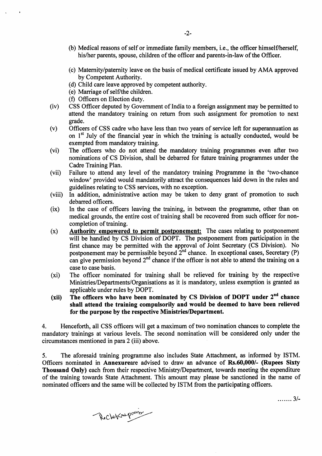- (b) Medical reasons of self or immediate family members, i.e., the officer himself/herself, his/her parents, spouse, children of the officer and parents-in-law of the Officer.
- (c) Maternity/paternity leave on the basis of medical certificate issued by AMA approved by Competent Authority.
- (d) Child care leave approved by competent authority.
- (e) Marriage of selfYthe children.
- (f) Officers on Election duty.
- (iv) CSS Officer deputed by Government of India to a foreign assignment may be permitted to attend the mandatory training on return from such assignment for promotion to next grade.
- (v) Officers of CSS cadre who have less than two years of service left for superannuation as on  $1<sup>st</sup>$  July of the financial year in which the training is actually conducted, would be exempted from mandatory training.
- (vi) The officers who do not attend the mandatory training programmes even after two nominations of CS Division, shall be debarred for future training programmes under the Cadre Training Plan.
- (vii) Failure to attend any level of the mandatory training Programme in the 'two-chance window' provided would mandatorily attract the consequences laid down in the rules and guidelines relating to CSS services, with no exception.
- (viii) In addition, administrative action may be taken to deny grant of promotion to such debarred officers.
- (ix) In the case of officers leaving the training, in between the programme, other than on medical grounds, the entire cost of training shall be recovered from such officer for noncompletion of training.
- **(x) Authority empowered to permit postponement:** The cases relating to postponement will be handled by CS Division of DOPT. The postponement from participation in the first chance may be permitted with the approval of Joint Secretary (CS Division). No postponement may be permissible beyond 2<sup>nd</sup> chance. In exceptional cases, Secretary (P) can give permission beyond  $2<sup>nd</sup>$  chance if the officer is not able to attend the training on a case to case basis.
- (xi) The officer nominated for training shall be relieved for training by the respective Ministries/Departments/Organisations as it is mandatory, unless exemption is granted as applicable under rules by DOPT.
- (xii) The officers who have been nominated by CS Division of DOPT under  $2^{nd}$  chance **shall attend the training compulsorily and would be deemed to have been relieved for the purpose by the respective Ministries/Department.**

4. Henceforth, all CSS officers will get a maximum of two nomination chances to complete the mandatory trainings at various levels. The second nomination will be considered only under the circumstances mentioned in para 2 (iii) above.

5. The aforesaid training programme also includes State Attachment, as informed by ISTM. Officers nominated in **Annexureare** advised to draw an advance of **Rs.60,000/- (Rupees Sixty Thousand Only)** each from their respective Ministry/Department, towards meeting the expenditure of the training towards State Attachment. This amount may please be sanctioned in the name of nominated officers and the same will be collected by ISTM from the participating officers.

3/-

Recheknypown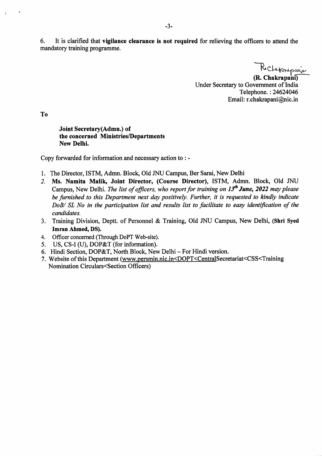6. It is clarified that **vigilance clearance is not required** for relieving the officers to attend the mandatory training programme.

Richeknipaux

**(R. ChakrapanI)**  Under Secretary to Government of India Telephone. : 24624046 Email: r.chakrapani@nic.in

**To** 

**Joint Secretary(Admn.) of the concerned Ministries/Departments New Delhi.** 

Copy forwarded for information and necessary action to : -

- 1. The Director, ISTM, Admn. Block, Old JNU Campus, Ber Sarai, New Delhi
- 2. Ms. **Namita Malik, Joint Director, (Course Director),** ISTM, Admn. Block, Old JNU *Campus, New Delhi. The list of officers, who report for training on l3" June, 2022 may please be furnished to this Department next day positively. Further, it is requested to kindly indicate DoB/ SL No in the participation list and results list to facilitate to easy identjfication of the candidates.*
- 3. Training Division, Deptt. of Personnel & Training, Old JNU Campus, New Delhi, **(Shri Syed Imran Ahmed, DS).**
- 4. Officer concerned (Through DoPT Web-site).
- 5. US, CS-I (U), DOP&T (for information).
- 6. Hindi Section, DOP&T, North Block, New Delhi For Hindi version.
- 7. Website of this Department (www.persmin.nic.in<DOPT<CentralSecretariat<CSS<Training Nomination Circulars<Section Officers)